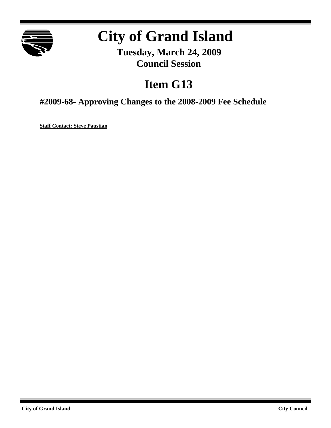

# **City of Grand Island**

**Tuesday, March 24, 2009 Council Session**

## **Item G13**

**#2009-68- Approving Changes to the 2008-2009 Fee Schedule**

**Staff Contact: Steve Paustian**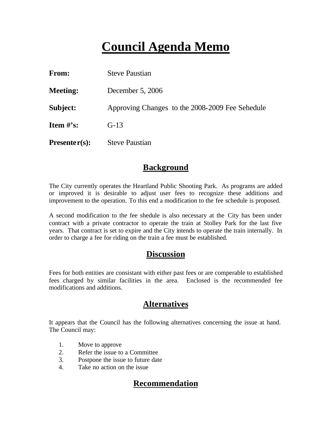## **Council Agenda Memo**

| From:           | <b>Steve Paustian</b>                           |
|-----------------|-------------------------------------------------|
| <b>Meeting:</b> | December 5, 2006                                |
| Subject:        | Approving Changes to the 2008-2009 Fee Sehedule |
| Item $\#$ 's:   | $G-13$                                          |
| $Presenter(s):$ | <b>Steve Paustian</b>                           |

### **Background**

The City currently operates the Heartland Public Shooting Park. As programs are added or improved it is desirable to adjust user fees to recognize these additions and improvement to the operation. To this end a modification to the fee schedule is proposed.

A second modification to the fee shedule is also necessary at the City has been under contract with a private contractor to operate the train at Stolley Park for the last five years. That contract is set to expire and the City intends to operate the train internally. In order to charge a fee for riding on the train a fee must be established.

### **Discussion**

Fees for both entities are consistant with either past fees or are comperable to established fees charged by similar facilities in the area. Enclosed is the recommended fee modifications and additions.

## **Alternatives**

It appears that the Council has the following alternatives concerning the issue at hand. The Council may:

- 1. Move to approve
- 2. Refer the issue to a Committee
- 3. Postpone the issue to future date
- 4. Take no action on the issue

## **Recommendation**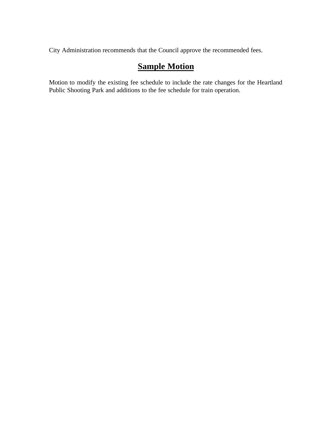City Administration recommends that the Council approve the recommended fees.

## **Sample Motion**

Motion to modify the existing fee schedule to include the rate changes for the Heartland Public Shooting Park and additions to the fee schedule for train operation.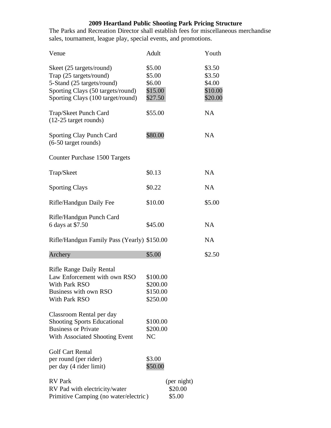#### **2009 Heartland Public Shooting Park Pricing Structure**

The Parks and Recreation Director shall establish fees for miscellaneous merchandise sales, tournament, league play, special events, and promotions.

| Venue                                                                                                                                                       | Adult                                            | Youth                                            |
|-------------------------------------------------------------------------------------------------------------------------------------------------------------|--------------------------------------------------|--------------------------------------------------|
| Skeet (25 targets/round)<br>Trap (25 targets/round)<br>5-Stand (25 targets/round)<br>Sporting Clays (50 targets/round)<br>Sporting Clays (100 target/round) | \$5.00<br>\$5.00<br>\$6.00<br>\$15.00<br>\$27.50 | \$3.50<br>\$3.50<br>\$4.00<br>\$10.00<br>\$20.00 |
| Trap/Skeet Punch Card<br>$(12-25$ target rounds)                                                                                                            | \$55.00                                          | <b>NA</b>                                        |
| <b>Sporting Clay Punch Card</b><br>(6-50 target rounds)                                                                                                     | \$80.00                                          | <b>NA</b>                                        |
| Counter Purchase 1500 Targets                                                                                                                               |                                                  |                                                  |
| Trap/Skeet                                                                                                                                                  | \$0.13                                           | <b>NA</b>                                        |
| <b>Sporting Clays</b>                                                                                                                                       | \$0.22                                           | <b>NA</b>                                        |
| Rifle/Handgun Daily Fee                                                                                                                                     | \$10.00                                          | \$5.00                                           |
| Rifle/Handgun Punch Card<br>6 days at \$7.50                                                                                                                | \$45.00                                          | <b>NA</b>                                        |
| Rifle/Handgun Family Pass (Yearly) \$150.00                                                                                                                 |                                                  | <b>NA</b>                                        |
| Archery                                                                                                                                                     | \$5.00                                           | \$2.50                                           |
| <b>Rifle Range Daily Rental</b><br>Law Enforcement with own RSO<br>With Park RSO<br>Business with own RSO<br>With Park RSO<br>Classroom Rental per day      | \$100.00<br>\$200.00<br>\$150.00<br>\$250.00     |                                                  |
| <b>Shooting Sports Educational</b><br><b>Business or Private</b><br>With Associated Shooting Event                                                          | \$100.00<br>\$200.00<br>NC                       |                                                  |
| <b>Golf Cart Rental</b><br>per round (per rider)<br>per day (4 rider limit)                                                                                 | \$3.00<br>\$50.00                                |                                                  |
| <b>RV</b> Park<br>RV Pad with electricity/water<br>Primitive Camping (no water/electric)                                                                    | (per night)<br>\$20.00<br>\$5.00                 |                                                  |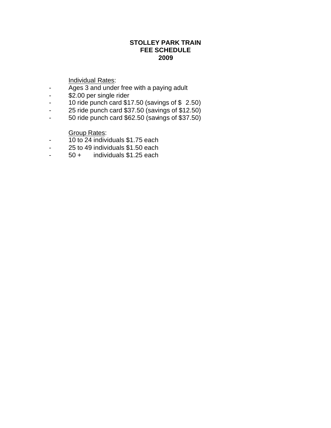#### **STOLLEY PARK TRAIN FEE SCHEDULE 2009**

#### Individual Rates:

- Ages 3 and under free with a paying adult
- \$2.00 per single rider
- 10 ride punch card \$17.50 (savings of \$ 2.50)
- 25 ride punch card \$37.50 (savings of \$12.50)
- 50 ride punch card \$62.50 (savings of \$37.50)

#### Group Rates:

- 10 to 24 individuals \$1.75 each
- $-$  25 to 49 individuals  $$1.50$  each<br> $-$  50  $+$  individuals  $$1.25$  each
- 50 + individuals \$1.25 each